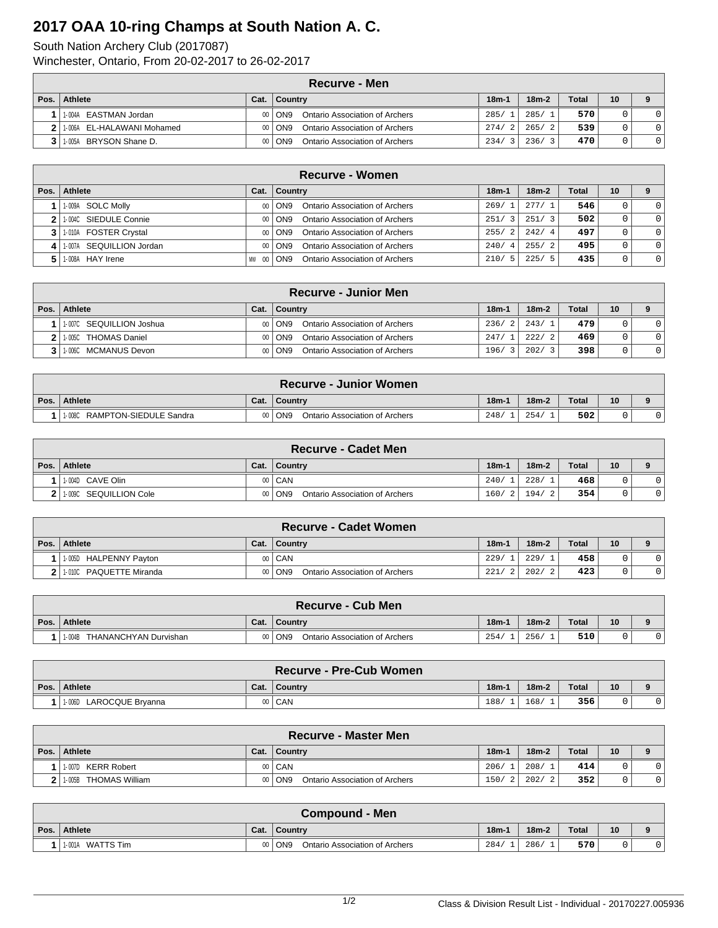## **2017 OAA 10-ring Champs at South Nation A. C.**

South Nation Archery Club (2017087) Winchester, Ontario, From 20-02-2017 to 26-02-2017

|      | Recurve - Men               |      |                                                 |                        |         |              |              |                |  |  |  |
|------|-----------------------------|------|-------------------------------------------------|------------------------|---------|--------------|--------------|----------------|--|--|--|
| Pos. | Athlete                     | Cat. | $ $ Country                                     | $18m-1$                | $18m-2$ | <b>Total</b> | $10^{\circ}$ |                |  |  |  |
|      | 1-004A EASTMAN Jordan       |      | <b>Ontario Association of Archers</b><br>00 ON9 | 285/                   | 285/1   | 570          |              | $\Omega$       |  |  |  |
|      | 11-006A EL-HALAWANI Mohamed |      | 00 ON9<br>Ontario Association of Archers        | 274/<br>$\overline{2}$ | 265/2   | 539          |              | $\overline{0}$ |  |  |  |
|      | 11-005A BRYSON Shane D.     |      | 00 ON9<br>Ontario Association of Archers        | 234/<br>ર              | 236/    | 470          |              | $\overline{0}$ |  |  |  |

|      | <b>Recurve - Women</b>   |                |                                                   |             |         |              |                 |              |  |  |  |
|------|--------------------------|----------------|---------------------------------------------------|-------------|---------|--------------|-----------------|--------------|--|--|--|
| Pos. | Athlete                  | Cat.           | <b>Country</b>                                    | $18m-1$     | $18m-2$ | <b>Total</b> | 10 <sup>°</sup> |              |  |  |  |
|      | 1-009A SOLC Molly        | $00 \,$        | Ontario Association of Archers<br>I ON9           | 269/1       | 277/1   | 546          |                 | $\mathbf{0}$ |  |  |  |
|      | 2 1.004C SIEDULE Connie  | 0 <sub>0</sub> | Ontario Association of Archers<br>ON <sub>9</sub> | 251/<br>3   | 251/3   | 502          |                 | $\mathbf{0}$ |  |  |  |
|      | 3 1.010A FOSTER Crystal  | 00             | Ontario Association of Archers<br>ON9             | 255/2       | 242/4   | 497          |                 | $\mathbf{0}$ |  |  |  |
| 4    | 1-007A SEQUILLION Jordan | 0 <sub>0</sub> | Ontario Association of Archers<br>ON <sub>9</sub> | 240/4       | 255/2   | 495          |                 | $\mathbf{0}$ |  |  |  |
|      | 5 1.008A HAY Irene       | MW<br>-00      | Ontario Association of Archers<br>ON <sub>9</sub> | 210/<br>- 5 | 225/5   | 435          |                 | $\mathbf{0}$ |  |  |  |

| <b>Recurve - Junior Men</b> |                 |                                                   |                        |                        |              |    |          |  |  |
|-----------------------------|-----------------|---------------------------------------------------|------------------------|------------------------|--------------|----|----------|--|--|
| Pos.   Athlete              | Cat.            | Country                                           | $18m -$                | $18m-2$                | <b>Total</b> | 10 |          |  |  |
| 1-007C SEQUILLION Joshua    | 00 <sup>1</sup> | Ontario Association of Archers<br>ON <sub>9</sub> | 236/<br>$\overline{2}$ | 243/1                  | 479          |    | $\Omega$ |  |  |
| 11-005C THOMAS Daniel       | $00 \,$         | Ontario Association of Archers<br>ON <sub>9</sub> | 247/                   | 222/<br>$\overline{2}$ | 469          |    | $\Omega$ |  |  |
| 1-006C MCMANUS Devon        | $00 \,$         | Ontario Association of Archers<br>ON <sub>9</sub> | 196/                   | 202/                   | 398          |    | $\Omega$ |  |  |

| <b>Recurve - Junior Women</b>    |      |                                         |         |         |       |    |  |  |  |  |
|----------------------------------|------|-----------------------------------------|---------|---------|-------|----|--|--|--|--|
| Pos. Athlete                     | Cat. | Country                                 | $18m-1$ | $18m-2$ | Total | 10 |  |  |  |  |
| RAMPTON-SIEDULE Sandra<br>1-008C | 00   | i ON9<br>Ontario Association of Archers | 248/    | 254.    | 502   |    |  |  |  |  |

|      | <b>Recurve - Cadet Men</b> |                 |                                                   |         |         |              |    |  |  |  |
|------|----------------------------|-----------------|---------------------------------------------------|---------|---------|--------------|----|--|--|--|
| Pos. | Athlete                    | Cat.            | <b>Country</b>                                    | $18m -$ | $18m-2$ | <b>Total</b> | 10 |  |  |  |
|      | 11-004D CAVE Olin          |                 | 00   CAN                                          | 240/    | 228/    | 468          | 0  |  |  |  |
|      | 11-009C SEQUILLION Cole    | 00 <sup>1</sup> | ON <sub>9</sub><br>Ontario Association of Archers | 160/2   | 194/    | 354          |    |  |  |  |

| <b>Recurve - Cadet Women</b> |                 |                                                          |            |         |              |    |  |  |  |
|------------------------------|-----------------|----------------------------------------------------------|------------|---------|--------------|----|--|--|--|
| Pos. Athlete                 | Cat.            | Country                                                  | $18m-1$    | $18m-2$ | <b>Total</b> | 10 |  |  |  |
| HALPENNY Payton<br>1-005D    |                 | 00   CAN                                                 | 229/       | 229/    | 458          |    |  |  |  |
| 1-010C PAQUETTE Miranda      | 00 <sup>1</sup> | ON <sub>9</sub><br><b>Ontario Association of Archers</b> | 221/<br>-2 | 202/    | 423          |    |  |  |  |

|      | <b>Recurve - Cub Men</b>        |      |                                                   |         |         |       |    |  |  |  |
|------|---------------------------------|------|---------------------------------------------------|---------|---------|-------|----|--|--|--|
| Pos. | Athlete                         | Cat. | Country                                           | $18m -$ | $18m-2$ | Total | 10 |  |  |  |
|      | THANANCHYAN Durvishan<br>1-004B |      | ON <sub>9</sub><br>Ontario Association of Archers | 254     | 256     | 510   |    |  |  |  |

|      |                         |                 | <b>Recurve - Pre-Cub Women</b> |         |         |       |    |  |
|------|-------------------------|-----------------|--------------------------------|---------|---------|-------|----|--|
| Pos. | Athlete                 | Cat.            | Country                        | $18m-1$ | $18m-2$ | Total | 10 |  |
|      | 1.0060 LAROCQUE Brvanna | 00 <sub>1</sub> | CAN                            | 188     | 168     | 356   |    |  |

|      | <b>Recurve - Master Men</b> |         |                                                   |         |                   |              |    |  |  |  |
|------|-----------------------------|---------|---------------------------------------------------|---------|-------------------|--------------|----|--|--|--|
| Pos. | Athlete                     | Cat.    | Country                                           | $18m -$ | $18m-2$           | <b>Total</b> | 10 |  |  |  |
|      | 11-007D KERR Robert         |         | 00   CAN                                          | 206/    | 208/              | 414          |    |  |  |  |
|      | 11-005B THOMAS William      | $00 \,$ | ON <sub>9</sub><br>Ontario Association of Archers | 150/    | 202/<br>$\bigcap$ | 352          |    |  |  |  |

|      | <b>Compound - Men</b> |      |                                                          |                    |         |              |    |  |  |  |
|------|-----------------------|------|----------------------------------------------------------|--------------------|---------|--------------|----|--|--|--|
| Pos. | Athlete               | Cat. | ∣ Countrv                                                | 18 <sub>m</sub> -1 | $18m-2$ | <b>Total</b> | 10 |  |  |  |
|      | WATTS Tim<br>1-001A   | 00   | ON <sub>9</sub><br><b>Ontario Association of Archers</b> | 284/               | 286/    | 570          |    |  |  |  |